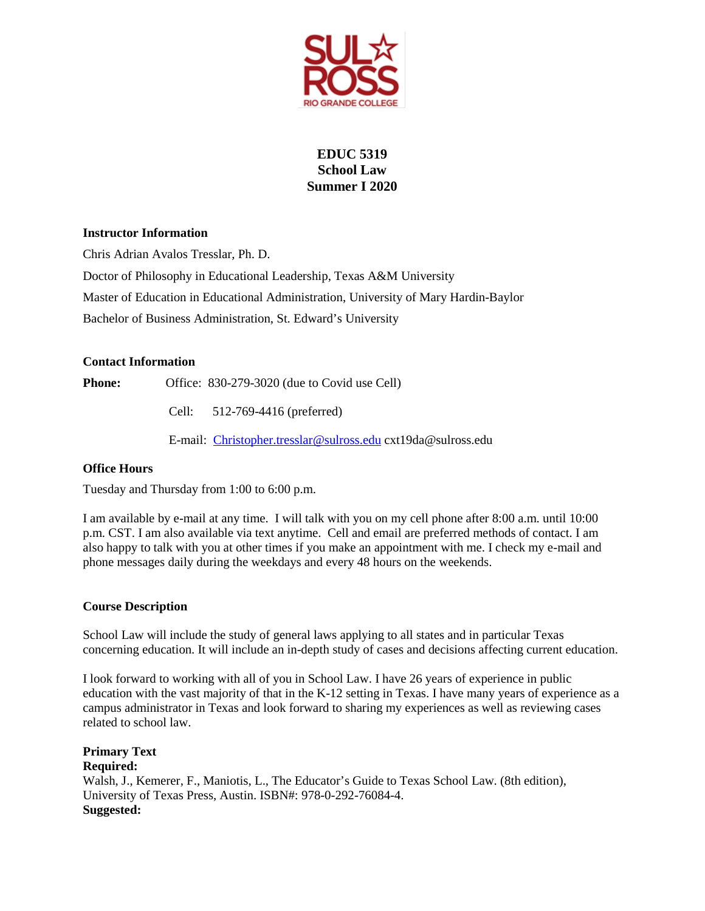

# **EDUC 5319 School Law Summer I 2020**

## **Instructor Information**

Chris Adrian Avalos Tresslar, Ph. D. Doctor of Philosophy in Educational Leadership, Texas A&M University Master of Education in Educational Administration, University of Mary Hardin-Baylor Bachelor of Business Administration, St. Edward's University

## **Contact Information**

**Phone:** Office: 830-279-3020 (due to Covid use Cell)

Cell: 512-769-4416 (preferred)

E-mail: [Christopher.tresslar@sulross.edu](mailto:Christopher.tresslar@sulross.edu) cxt19da@sulross.edu

## **Office Hours**

Tuesday and Thursday from 1:00 to 6:00 p.m.

I am available by e-mail at any time. I will talk with you on my cell phone after 8:00 a.m. until 10:00 p.m. CST. I am also available via text anytime. Cell and email are preferred methods of contact. I am also happy to talk with you at other times if you make an appointment with me. I check my e-mail and phone messages daily during the weekdays and every 48 hours on the weekends.

## **Course Description**

School Law will include the study of general laws applying to all states and in particular Texas concerning education. It will include an in-depth study of cases and decisions affecting current education.

I look forward to working with all of you in School Law. I have 26 years of experience in public education with the vast majority of that in the K-12 setting in Texas. I have many years of experience as a campus administrator in Texas and look forward to sharing my experiences as well as reviewing cases related to school law.

**Primary Text Required:** Walsh, J., Kemerer, F., Maniotis, L., The Educator's Guide to Texas School Law. (8th edition), University of Texas Press, Austin. ISBN#: 978-0-292-76084-4. **Suggested:**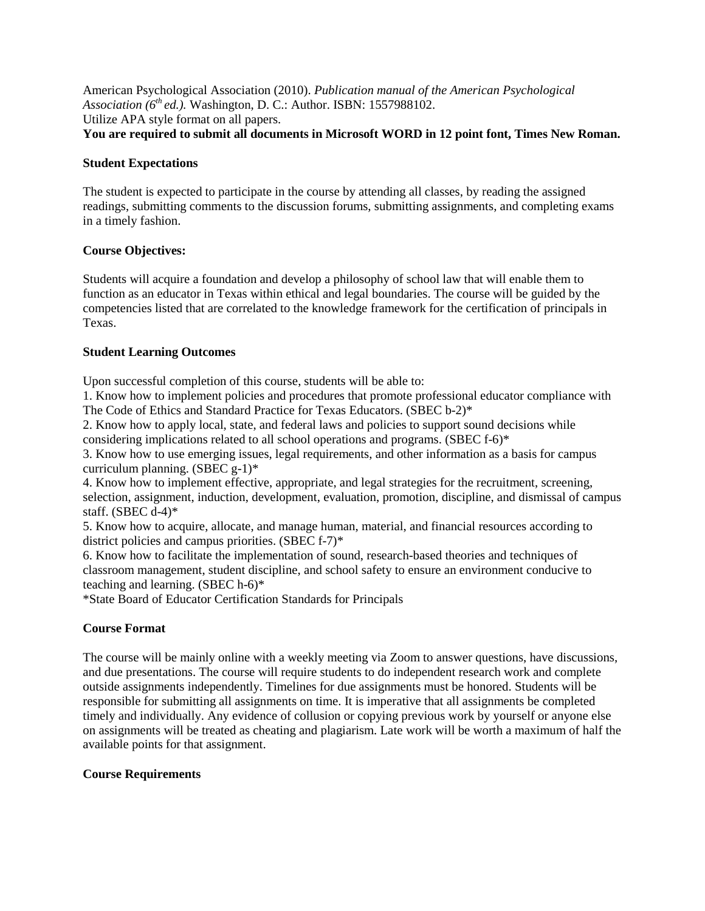American Psychological Association (2010). *Publication manual of the American Psychological Association (6th ed.).* Washington, D. C.: Author. ISBN: 1557988102. Utilize APA style format on all papers. **You are required to submit all documents in Microsoft WORD in 12 point font, Times New Roman.** 

### **Student Expectations**

The student is expected to participate in the course by attending all classes, by reading the assigned readings, submitting comments to the discussion forums, submitting assignments, and completing exams in a timely fashion.

## **Course Objectives:**

Students will acquire a foundation and develop a philosophy of school law that will enable them to function as an educator in Texas within ethical and legal boundaries. The course will be guided by the competencies listed that are correlated to the knowledge framework for the certification of principals in Texas.

## **Student Learning Outcomes**

Upon successful completion of this course, students will be able to:

1. Know how to implement policies and procedures that promote professional educator compliance with The Code of Ethics and Standard Practice for Texas Educators. (SBEC b-2)\*

2. Know how to apply local, state, and federal laws and policies to support sound decisions while considering implications related to all school operations and programs. (SBEC f-6)\*

3. Know how to use emerging issues, legal requirements, and other information as a basis for campus curriculum planning. (SBEC g-1)\*

4. Know how to implement effective, appropriate, and legal strategies for the recruitment, screening, selection, assignment, induction, development, evaluation, promotion, discipline, and dismissal of campus staff. (SBEC d-4)\*

5. Know how to acquire, allocate, and manage human, material, and financial resources according to district policies and campus priorities. (SBEC f-7)\*

6. Know how to facilitate the implementation of sound, research-based theories and techniques of classroom management, student discipline, and school safety to ensure an environment conducive to teaching and learning. (SBEC h-6)\*

\*State Board of Educator Certification Standards for Principals

## **Course Format**

The course will be mainly online with a weekly meeting via Zoom to answer questions, have discussions, and due presentations. The course will require students to do independent research work and complete outside assignments independently. Timelines for due assignments must be honored. Students will be responsible for submitting all assignments on time. It is imperative that all assignments be completed timely and individually. Any evidence of collusion or copying previous work by yourself or anyone else on assignments will be treated as cheating and plagiarism. Late work will be worth a maximum of half the available points for that assignment.

## **Course Requirements**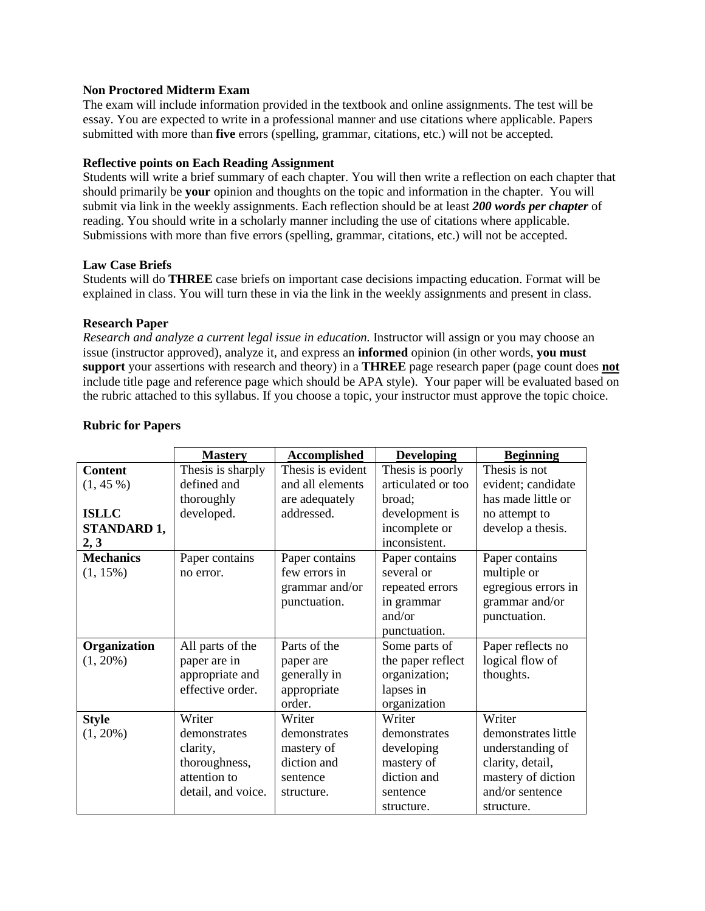#### **Non Proctored Midterm Exam**

The exam will include information provided in the textbook and online assignments. The test will be essay. You are expected to write in a professional manner and use citations where applicable. Papers submitted with more than **five** errors (spelling, grammar, citations, etc.) will not be accepted.

#### **Reflective points on Each Reading Assignment**

Students will write a brief summary of each chapter. You will then write a reflection on each chapter that should primarily be **your** opinion and thoughts on the topic and information in the chapter. You will submit via link in the weekly assignments. Each reflection should be at least *200 words per chapter* of reading. You should write in a scholarly manner including the use of citations where applicable. Submissions with more than five errors (spelling, grammar, citations, etc.) will not be accepted.

#### **Law Case Briefs**

Students will do **THREE** case briefs on important case decisions impacting education. Format will be explained in class. You will turn these in via the link in the weekly assignments and present in class.

#### **Research Paper**

*Research and analyze a current legal issue in education.* Instructor will assign or you may choose an issue (instructor approved), analyze it, and express an **informed** opinion (in other words, **you must support** your assertions with research and theory) in a **THREE** page research paper (page count does **not** include title page and reference page which should be APA style). Your paper will be evaluated based on the rubric attached to this syllabus. If you choose a topic, your instructor must approve the topic choice.

|                  | <b>Mastery</b>     | <b>Accomplished</b> | <b>Developing</b>  | <b>Beginning</b>    |
|------------------|--------------------|---------------------|--------------------|---------------------|
| <b>Content</b>   | Thesis is sharply  | Thesis is evident   | Thesis is poorly   | Thesis is not       |
| $(1, 45\%)$      | defined and        | and all elements    | articulated or too | evident; candidate  |
|                  | thoroughly         | are adequately      | broad;             | has made little or  |
| <b>ISLLC</b>     | developed.         | addressed.          | development is     | no attempt to       |
| STANDARD 1,      |                    |                     | incomplete or      | develop a thesis.   |
| 2, 3             |                    |                     | inconsistent.      |                     |
| <b>Mechanics</b> | Paper contains     | Paper contains      | Paper contains     | Paper contains      |
| $(1, 15\%)$      | no error.          | few errors in       | several or         | multiple or         |
|                  |                    | grammar and/or      | repeated errors    | egregious errors in |
|                  |                    | punctuation.        | in grammar         | grammar and/or      |
|                  |                    |                     | and/or             | punctuation.        |
|                  |                    |                     | punctuation.       |                     |
| Organization     | All parts of the   | Parts of the        | Some parts of      | Paper reflects no   |
| $(1, 20\%)$      | paper are in       | paper are           | the paper reflect  | logical flow of     |
|                  | appropriate and    | generally in        | organization;      | thoughts.           |
|                  | effective order.   | appropriate         | lapses in          |                     |
|                  |                    | order.              | organization       |                     |
| <b>Style</b>     | Writer             | Writer              | Writer             | Writer              |
| $(1, 20\%)$      | demonstrates       | demonstrates        | demonstrates       | demonstrates little |
|                  | clarity,           | mastery of          | developing         | understanding of    |
|                  | thoroughness,      | diction and         | mastery of         | clarity, detail,    |
|                  | attention to       | sentence            | diction and        | mastery of diction  |
|                  | detail, and voice. | structure.          | sentence           | and/or sentence     |
|                  |                    |                     | structure.         | structure.          |

#### **Rubric for Papers**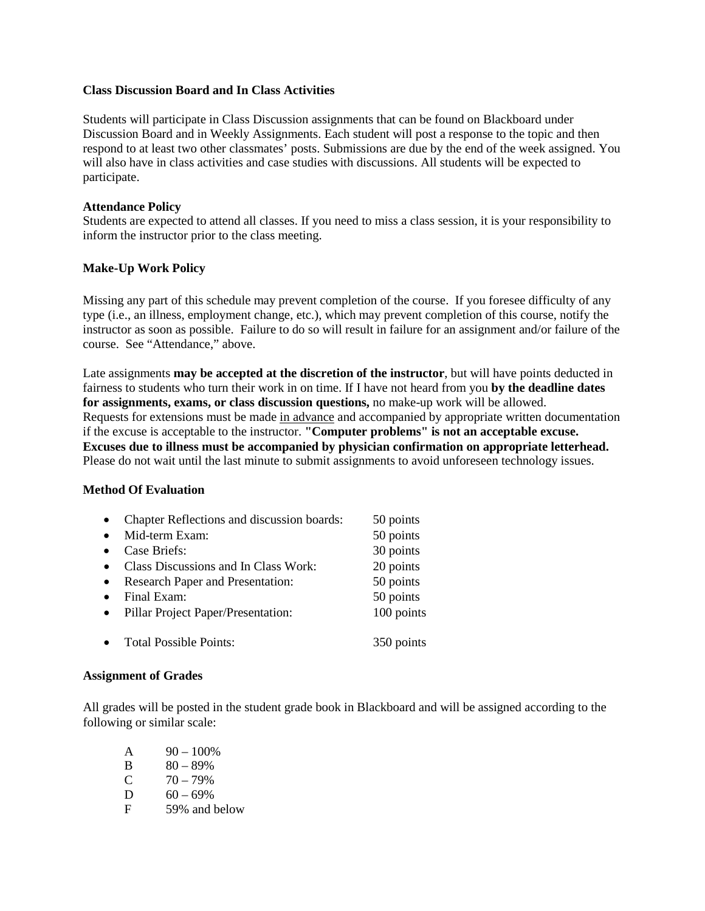#### **Class Discussion Board and In Class Activities**

Students will participate in Class Discussion assignments that can be found on Blackboard under Discussion Board and in Weekly Assignments. Each student will post a response to the topic and then respond to at least two other classmates' posts. Submissions are due by the end of the week assigned. You will also have in class activities and case studies with discussions. All students will be expected to participate.

## **Attendance Policy**

Students are expected to attend all classes. If you need to miss a class session, it is your responsibility to inform the instructor prior to the class meeting.

## **Make-Up Work Policy**

Missing any part of this schedule may prevent completion of the course. If you foresee difficulty of any type (i.e., an illness, employment change, etc.), which may prevent completion of this course, notify the instructor as soon as possible. Failure to do so will result in failure for an assignment and/or failure of the course. See "Attendance," above.

Late assignments **may be accepted at the discretion of the instructor**, but will have points deducted in fairness to students who turn their work in on time. If I have not heard from you **by the deadline dates for assignments, exams, or class discussion questions,** no make-up work will be allowed. Requests for extensions must be made in advance and accompanied by appropriate written documentation if the excuse is acceptable to the instructor. **"Computer problems" is not an acceptable excuse. Excuses due to illness must be accompanied by physician confirmation on appropriate letterhead.**  Please do not wait until the last minute to submit assignments to avoid unforeseen technology issues.

## **Method Of Evaluation**

| $\bullet$ | Chapter Reflections and discussion boards: | 50 points  |
|-----------|--------------------------------------------|------------|
| $\bullet$ | Mid-term Exam:                             | 50 points  |
| $\bullet$ | Case Briefs:                               | 30 points  |
| $\bullet$ | Class Discussions and In Class Work:       | 20 points  |
| $\bullet$ | Research Paper and Presentation:           | 50 points  |
| $\bullet$ | Final Exam:                                | 50 points  |
| $\bullet$ | Pillar Project Paper/Presentation:         | 100 points |
|           |                                            |            |
|           | <b>Total Possible Points:</b>              | 350 points |
|           |                                            |            |

#### **Assignment of Grades**

All grades will be posted in the student grade book in Blackboard and will be assigned according to the following or similar scale:

| A | $90 - 100\%$  |
|---|---------------|
|   |               |
| B | $80 - 89%$    |
| C | $70 - 79%$    |
| D | $60 - 69\%$   |
| F | 59% and below |
|   |               |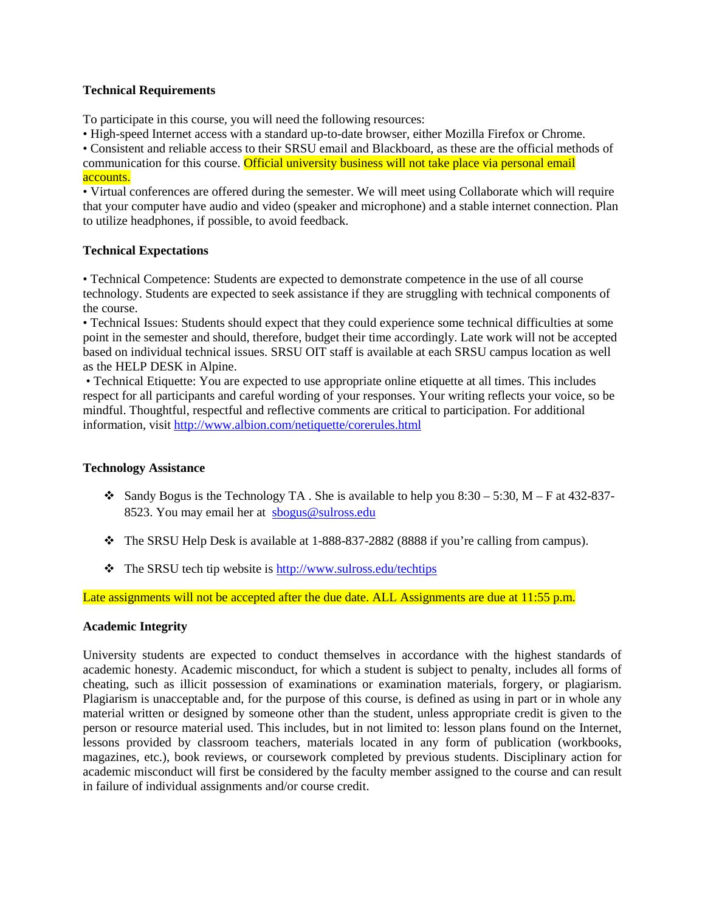### **Technical Requirements**

To participate in this course, you will need the following resources:

• High-speed Internet access with a standard up-to-date browser, either Mozilla Firefox or Chrome.

• Consistent and reliable access to their SRSU email and Blackboard, as these are the official methods of communication for this course. Official university business will not take place via personal email accounts.

• Virtual conferences are offered during the semester. We will meet using Collaborate which will require that your computer have audio and video (speaker and microphone) and a stable internet connection. Plan to utilize headphones, if possible, to avoid feedback.

## **Technical Expectations**

• Technical Competence: Students are expected to demonstrate competence in the use of all course technology. Students are expected to seek assistance if they are struggling with technical components of the course.

• Technical Issues: Students should expect that they could experience some technical difficulties at some point in the semester and should, therefore, budget their time accordingly. Late work will not be accepted based on individual technical issues. SRSU OIT staff is available at each SRSU campus location as well as the HELP DESK in Alpine.

• Technical Etiquette: You are expected to use appropriate online etiquette at all times. This includes respect for all participants and careful wording of your responses. Your writing reflects your voice, so be mindful. Thoughtful, respectful and reflective comments are critical to participation. For additional information, visit<http://www.albion.com/netiquette/corerules.html>

## **Technology Assistance**

- Sandy Bogus is the Technology TA . She is available to help you 8:30 5:30,  $M F$  at 432-837-8523. You may email her at [sbogus@sulross.edu](mailto:sbogus@sulross.edu)
- The SRSU Help Desk is available at 1-888-837-2882 (8888 if you're calling from campus).
- $\triangle$  The SRSU tech tip website is<http://www.sulross.edu/techtips>

Late assignments will not be accepted after the due date. ALL Assignments are due at 11:55 p.m.

## **Academic Integrity**

University students are expected to conduct themselves in accordance with the highest standards of academic honesty. Academic misconduct, for which a student is subject to penalty, includes all forms of cheating, such as illicit possession of examinations or examination materials, forgery, or plagiarism. Plagiarism is unacceptable and, for the purpose of this course, is defined as using in part or in whole any material written or designed by someone other than the student, unless appropriate credit is given to the person or resource material used. This includes, but in not limited to: lesson plans found on the Internet, lessons provided by classroom teachers, materials located in any form of publication (workbooks, magazines, etc.), book reviews, or coursework completed by previous students. Disciplinary action for academic misconduct will first be considered by the faculty member assigned to the course and can result in failure of individual assignments and/or course credit.